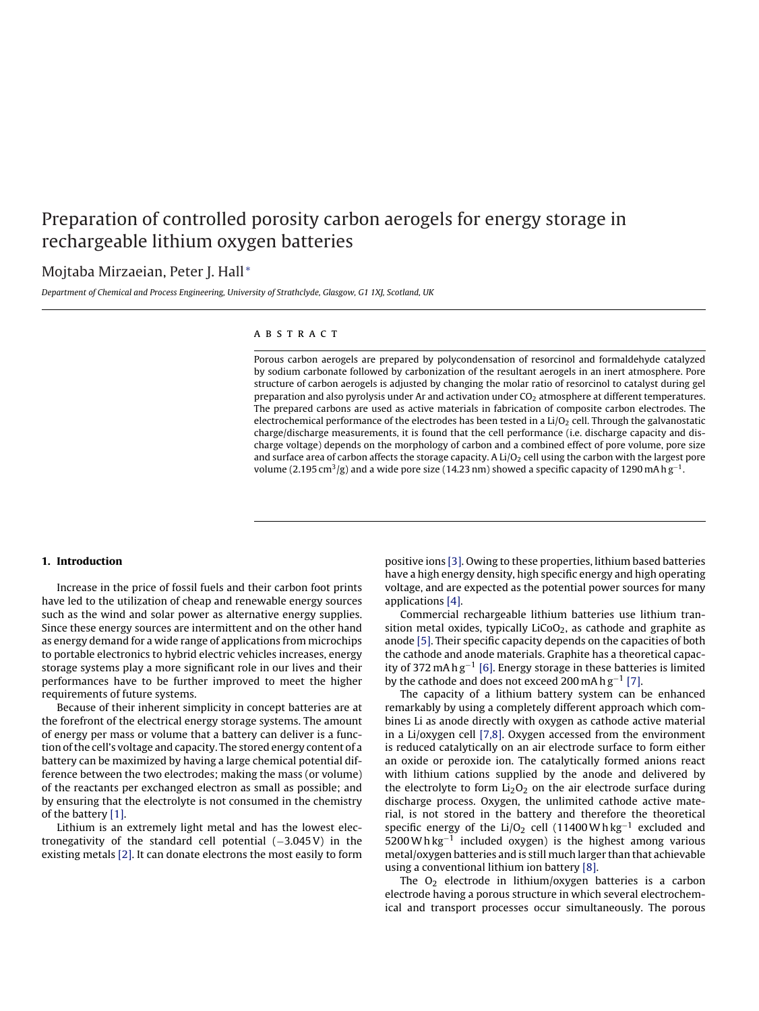# Preparation of controlled porosity carbon aerogels for energy storage in rechargeable lithium oxygen batteries

# Mojtaba Mirzaeian, Peter J. Hall [∗](#page--1-0)

Department of Chemical and Process Engineering, University of Strathclyde, Glasgow, G1 1XJ, Scotland, UK

# a b s t r a c t

Porous carbon aerogels are prepared by polycondensation of resorcinol and formaldehyde catalyzed by sodium carbonate followed by carbonization of the resultant aerogels in an inert atmosphere. Pore structure of carbon aerogels is adjusted by changing the molar ratio of resorcinol to catalyst during gel preparation and also pyrolysis under Ar and activation under  $CO<sub>2</sub>$  atmosphere at different temperatures. The prepared carbons are used as active materials in fabrication of composite carbon electrodes. The electrochemical performance of the electrodes has been tested in a  $Li/O<sub>2</sub>$  cell. Through the galvanostatic charge/discharge measurements, it is found that the cell performance (i.e. discharge capacity and discharge voltage) depends on the morphology of carbon and a combined effect of pore volume, pore size and surface area of carbon affects the storage capacity. A  $Li/O<sub>2</sub>$  cell using the carbon with the largest pore volume (2.195 cm $3$ /g) and a wide pore size (14.23 nm) showed a specific capacity of 1290 mA h g<sup>-1</sup>.

#### 1. Introduction

Increase in the price of fossil fuels and their carbon foot prints have led to the utilization of cheap and renewable energy sources such as the wind and solar power as alternative energy supplies. Since these energy sources are intermittent and on the other hand as energy demand for a wide range of applications from microchips to portable electronics to hybrid electric vehicles increases, energy storage systems play a more significant role in our lives and their performances have to be further improved to meet the higher requirements of future systems.

Because of their inherent simplicity in concept batteries are at the forefront of the electrical energy storage systems. The amount of energy per mass or volume that a battery can deliver is a function of the cell's voltage and capacity. The stored energy content of a battery can be maximized by having a large chemical potential difference between the two electrodes; making the mass (or volume) of the reactants per exchanged electron as small as possible; and by ensuring that the electrolyte is not consumed in the chemistry of the battery [\[1\].](#page-6-0)

Lithium is an extremely light metal and has the lowest electronegativity of the standard cell potential  $(-3.045 \text{ V})$  in the existing metals [\[2\]. I](#page-6-1)t can donate electrons the most easily to form positive ions [\[3\]. O](#page-6-2)wing to these properties, lithium based batteries have a high energy density, high specific energy and high operating voltage, and are expected as the potential power sources for many applications [\[4\].](#page-6-3)

Commercial rechargeable lithium batteries use lithium transition metal oxides, typically LiCoO<sub>2</sub>, as cathode and graphite as anode [\[5\]. T](#page-6-4)heir specific capacity depends on the capacities of both the cathode and anode materials. Graphite has a theoretical capac-ity of 372 mAhg<sup>-1</sup> [\[6\]. E](#page-6-5)nergy storage in these batteries is limited by the cathode and does not exceed 200 mA h  $g^{-1}$  [\[7\].](#page-6-6)

The capacity of a lithium battery system can be enhanced remarkably by using a completely different approach which combines Li as anode directly with oxygen as cathode active material in a Li/oxygen cell [\[7,8\]. O](#page-6-6)xygen accessed from the environment is reduced catalytically on an air electrode surface to form either an oxide or peroxide ion. The catalytically formed anions react with lithium cations supplied by the anode and delivered by the electrolyte to form  $Li<sub>2</sub>O<sub>2</sub>$  on the air electrode surface during discharge process. Oxygen, the unlimited cathode active material, is not stored in the battery and therefore the theoretical specific energy of the Li/O<sub>2</sub> cell (11400 Wh kg<sup>-1</sup> excluded and 5200 W h kg<sup>-1</sup> included oxygen) is the highest among various metal/oxygen batteries and is still much larger than that achievable using a conventional lithium ion battery [\[8\].](#page-6-7)

The  $O_2$  electrode in lithium/oxygen batteries is a carbon electrode having a porous structure in which several electrochemical and transport processes occur simultaneously. The porous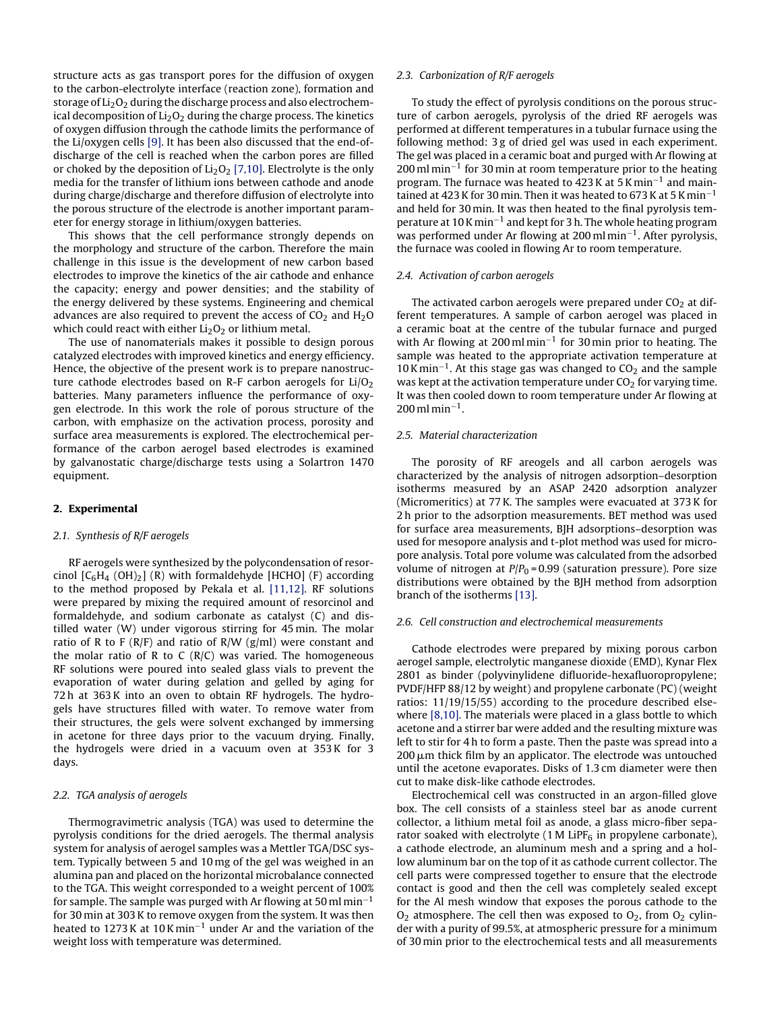<span id="page-1-2"></span>structure acts as gas transport pores for the diffusion of oxygen to the carbon-electrolyte interface (reaction zone), formation and storage of  $Li<sub>2</sub>O<sub>2</sub>$  during the discharge process and also electrochemical decomposition of  $Li<sub>2</sub>O<sub>2</sub>$  during the charge process. The kinetics of oxygen diffusion through the cathode limits the performance of the Li/oxygen cells [\[9\]. I](#page-6-8)t has been also discussed that the end-ofdischarge of the cell is reached when the carbon pores are filled or choked by the deposition of  $Li<sub>2</sub>O<sub>2</sub>$  [\[7,10\]. E](#page-6-6)lectrolyte is the only media for the transfer of lithium ions between cathode and anode during charge/discharge and therefore diffusion of electrolyte into the porous structure of the electrode is another important parameter for energy storage in lithium/oxygen batteries.

<span id="page-1-3"></span>This shows that the cell performance strongly depends on the morphology and structure of the carbon. Therefore the main challenge in this issue is the development of new carbon based electrodes to improve the kinetics of the air cathode and enhance the capacity; energy and power densities; and the stability of the energy delivered by these systems. Engineering and chemical advances are also required to prevent the access of  $CO<sub>2</sub>$  and  $H<sub>2</sub>O$ which could react with either  $Li<sub>2</sub>O<sub>2</sub>$  or lithium metal.

The use of nanomaterials makes it possible to design porous catalyzed electrodes with improved kinetics and energy efficiency. Hence, the objective of the present work is to prepare nanostructure cathode electrodes based on R-F carbon aerogels for  $Li/O<sub>2</sub>$ batteries. Many parameters influence the performance of oxygen electrode. In this work the role of porous structure of the carbon, with emphasize on the activation process, porosity and surface area measurements is explored. The electrochemical performance of the carbon aerogel based electrodes is examined by galvanostatic charge/discharge tests using a Solartron 1470 equipment.

#### 2. Experimental

#### 2.1. Synthesis of R/F aerogels

<span id="page-1-1"></span><span id="page-1-0"></span>RF aerogels were synthesized by the polycondensation of resorcinol  $[C_6H_4 (OH)_2]$  (R) with formaldehyde [HCHO] (F) according to the method proposed by Pekala et al. [\[11,12\].](#page-6-9) RF solutions were prepared by mixing the required amount of resorcinol and formaldehyde, and sodium carbonate as catalyst (C) and distilled water (W) under vigorous stirring for 45 min. The molar ratio of R to F ( $R/F$ ) and ratio of  $R/W$  ( $g/ml$ ) were constant and the molar ratio of R to C  $(R/C)$  was varied. The homogeneous RF solutions were poured into sealed glass vials to prevent the evaporation of water during gelation and gelled by aging for 72 h at 363 K into an oven to obtain RF hydrogels. The hydrogels have structures filled with water. To remove water from their structures, the gels were solvent exchanged by immersing in acetone for three days prior to the vacuum drying. Finally, the hydrogels were dried in a vacuum oven at 353 K for 3 days.

#### 2.2. TGA analysis of aerogels

Thermogravimetric analysis (TGA) was used to determine the pyrolysis conditions for the dried aerogels. The thermal analysis system for analysis of aerogel samples was a Mettler TGA/DSC system. Typically between 5 and 10 mg of the gel was weighed in an alumina pan and placed on the horizontal microbalance connected to the TGA. This weight corresponded to a weight percent of 100% for sample. The sample was purged with Ar flowing at 50 ml min<sup>-1</sup> for 30 min at 303 K to remove oxygen from the system. It was then heated to 1273 K at 10 K min−<sup>1</sup> under Ar and the variation of the weight loss with temperature was determined.

#### 2.3. Carbonization of R/F aerogels

To study the effect of pyrolysis conditions on the porous structure of carbon aerogels, pyrolysis of the dried RF aerogels was performed at different temperatures in a tubular furnace using the following method: 3 g of dried gel was used in each experiment. The gel was placed in a ceramic boat and purged with Ar flowing at 200 ml min<sup>-1</sup> for 30 min at room temperature prior to the heating program. The furnace was heated to 423 K at 5 K min−<sup>1</sup> and maintained at 423 K for 30 min. Then it was heated to 673 K at 5 K min<sup>-1</sup> and held for 30 min. It was then heated to the final pyrolysis temperature at 10 K min−<sup>1</sup> and kept for 3 h. The whole heating program was performed under Ar flowing at 200 ml min−<sup>1</sup> . After pyrolysis, the furnace was cooled in flowing Ar to room temperature.

#### 2.4. Activation of carbon aerogels

The activated carbon aerogels were prepared under  $CO<sub>2</sub>$  at different temperatures. A sample of carbon aerogel was placed in a ceramic boat at the centre of the tubular furnace and purged with Ar flowing at 200 ml min<sup>-1</sup> for 30 min prior to heating. The sample was heated to the appropriate activation temperature at  $10$  K min<sup>-1</sup>. At this stage gas was changed to  $CO<sub>2</sub>$  and the sample was kept at the activation temperature under  $CO<sub>2</sub>$  for varying time. It was then cooled down to room temperature under Ar flowing at  $200$  ml min<sup>-1</sup>.

## 2.5. Material characterization

The porosity of RF areogels and all carbon aerogels was characterized by the analysis of nitrogen adsorption–desorption isotherms measured by an ASAP 2420 adsorption analyzer (Micromeritics) at 77 K. The samples were evacuated at 373 K for 2 h prior to the adsorption measurements. BET method was used for surface area measurements, BJH adsorptions–desorption was used for mesopore analysis and t-plot method was used for micropore analysis. Total pore volume was calculated from the adsorbed volume of nitrogen at  $P/P_0 = 0.99$  (saturation pressure). Pore size distributions were obtained by the BJH method from adsorption branch of the isotherms [\[13\].](#page-6-10)

#### 2.6. Cell construction and electrochemical measurements

Cathode electrodes were prepared by mixing porous carbon aerogel sample, electrolytic manganese dioxide (EMD), Kynar Flex 2801 as binder (polyvinylidene difluoride-hexafluoropropylene; PVDF/HFP 88/12 by weight) and propylene carbonate (PC) (weight ratios: 11/19/15/55) according to the procedure described elsewhere [\[8,10\]. T](#page-6-7)he materials were placed in a glass bottle to which acetone and a stirrer bar were added and the resulting mixture was left to stir for 4 h to form a paste. Then the paste was spread into a  $200 \mu m$  thick film by an applicator. The electrode was untouched until the acetone evaporates. Disks of 1.3 cm diameter were then cut to make disk-like cathode electrodes.

Electrochemical cell was constructed in an argon-filled glove box. The cell consists of a stainless steel bar as anode current collector, a lithium metal foil as anode, a glass micro-fiber separator soaked with electrolyte (1 M LiP $F_6$  in propylene carbonate), a cathode electrode, an aluminum mesh and a spring and a hollow aluminum bar on the top of it as cathode current collector. The cell parts were compressed together to ensure that the electrode contact is good and then the cell was completely sealed except for the Al mesh window that exposes the porous cathode to the  $O_2$  atmosphere. The cell then was exposed to  $O_2$ , from  $O_2$  cylinder with a purity of 99.5%, at atmospheric pressure for a minimum of 30 min prior to the electrochemical tests and all measurements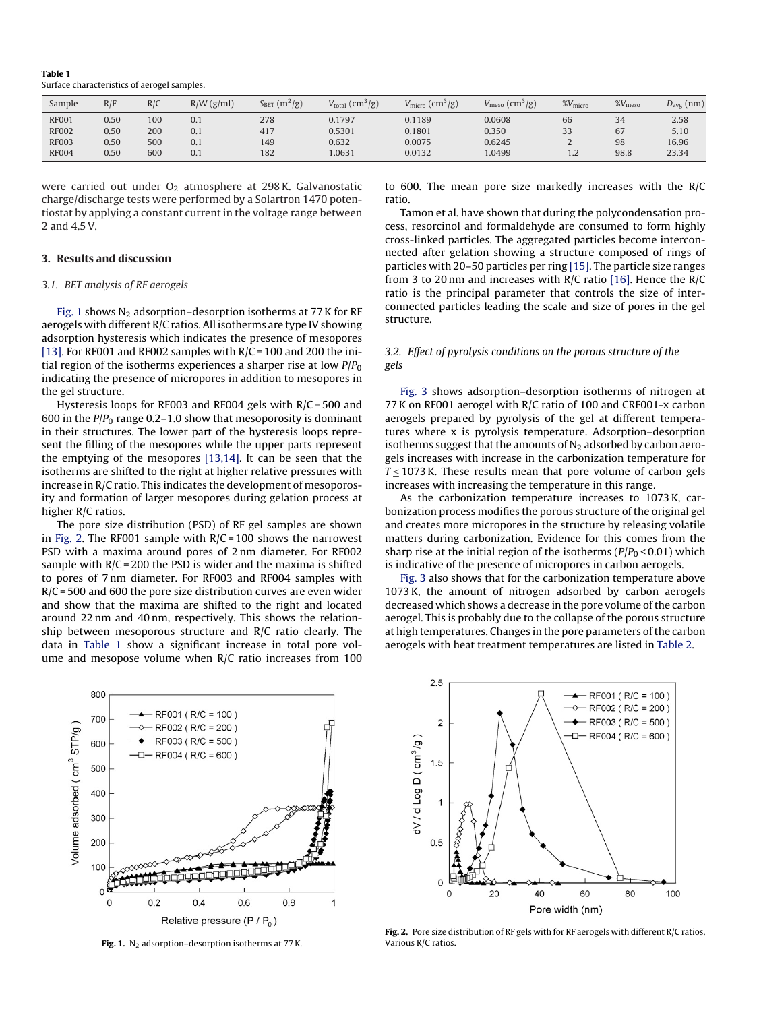<span id="page-2-0"></span>Table 1 Surface characteristics of aerogel samples.

<span id="page-2-1"></span>

| Sample       | R/F  | R/C | $R/W$ (g/ml) | $(m^2/g)$<br>$S_{\rm BET}$ | $V_{\text{total}}\left(\text{cm}^3/\text{g}\right)$ | $V_{\text{micro}}\left(\text{cm}^3/\text{g}\right)$ | $\rm (cm^3/g)$<br>$V_{\text{meso}}$ | $\%V_{micro}$                     | $\%V_{\text{meso}}$ | $D_{\rm avg}$ (nm) |
|--------------|------|-----|--------------|----------------------------|-----------------------------------------------------|-----------------------------------------------------|-------------------------------------|-----------------------------------|---------------------|--------------------|
| <b>RF001</b> | 0.50 | 100 | 0.1          | 278                        | 0.1797                                              | 0.1189                                              | 0.0608                              | 66                                | 34                  | 2.58               |
| <b>RF002</b> | 0.50 | 200 | 0.1          | 417                        | 0.5301                                              | 0.1801                                              | 0.350                               | 33                                | 67                  | 5.10               |
| <b>RF003</b> | 0.50 | 500 | 0.1          | 149                        | 0.632                                               | 0.0075                                              | 0.6245                              | <u>_</u>                          | 98                  | 16.96              |
| <b>RF004</b> | 0.50 | 600 | 0.1          | 182                        | 1.0631                                              | 0.0132                                              | 1.0499                              | $\mathcal{D}$<br>$\overline{1}$ . | 98.8                | 23.34              |

were carried out under  $O_2$  atmosphere at 298 K. Galvanostatic charge/discharge tests were performed by a Solartron 1470 potentiostat by applying a constant current in the voltage range between 2 and 4.5 V.

#### 3. Results and discussion

#### 3.1. BET analysis of RF aerogels

[Fig. 1](#page-1-0) shows  $N_2$  adsorption-desorption isotherms at 77 K for RF aerogels with different R/C ratios. All isotherms are type IV showing adsorption hysteresis which indicates the presence of mesopores [\[13\]. F](#page-6-10)or RF001 and RF002 samples with  $R/C = 100$  and 200 the initial region of the isotherms experiences a sharper rise at low  $P/P<sub>0</sub>$ indicating the presence of micropores in addition to mesopores in the gel structure.

Hysteresis loops for RF003 and RF004 gels with R/C = 500 and 600 in the  $P/P_0$  range 0.2–1.0 show that mesoporosity is dominant in their structures. The lower part of the hysteresis loops represent the filling of the mesopores while the upper parts represent the emptying of the mesopores [\[13,14\].](#page-6-10) It can be seen that the isotherms are shifted to the right at higher relative pressures with increase in R/C ratio. This indicates the development of mesoporosity and formation of larger mesopores during gelation process at higher R/C ratios.

<span id="page-2-2"></span>The pore size distribution (PSD) of RF gel samples are shown in [Fig. 2.](#page-1-1) The RF001 sample with  $R/C = 100$  shows the narrowest PSD with a maxima around pores of 2 nm diameter. For RF002 sample with  $R/C = 200$  the PSD is wider and the maxima is shifted to pores of 7 nm diameter. For RF003 and RF004 samples with  $R/C = 500$  and 600 the pore size distribution curves are even wider and show that the maxima are shifted to the right and located around 22 nm and 40 nm, respectively. This shows the relationship between mesoporous structure and R/C ratio clearly. The data in [Table 1](#page-1-2) show a significant increase in total pore volume and mesopose volume when R/C ratio increases from 100 to 600. The mean pore size markedly increases with the R/C ratio.

Tamon et al. have shown that during the polycondensation process, resorcinol and formaldehyde are consumed to form highly cross-linked particles. The aggregated particles become interconnected after gelation showing a structure composed of rings of particles with 20–50 particles per ring [\[15\]. T](#page-6-11)he particle size ranges from 3 to 20 nm and increases with R/C ratio [\[16\].](#page-6-12) Hence the R/C ratio is the principal parameter that controls the size of interconnected particles leading the scale and size of pores in the gel structure.

# 3.2. Effect of pyrolysis conditions on the porous structure of the gels

[Fig. 3](#page-2-1) shows adsorption–desorption isotherms of nitrogen at 77 K on RF001 aerogel with R/C ratio of 100 and CRF001-x carbon aerogels prepared by pyrolysis of the gel at different temperatures where x is pyrolysis temperature. Adsorption–desorption isotherms suggest that the amounts of  $N<sub>2</sub>$  adsorbed by carbon aerogels increases with increase in the carbonization temperature for  $T < 1073$  K. These results mean that pore volume of carbon gels increases with increasing the temperature in this range.

As the carbonization temperature increases to 1073 K, carbonization process modifies the porous structure of the original gel and creates more micropores in the structure by releasing volatile matters during carbonization. Evidence for this comes from the sharp rise at the initial region of the isotherms ( $P/P_0$  < 0.01) which is indicative of the presence of micropores in carbon aerogels.

[Fig. 3](#page-2-1) also shows that for the carbonization temperature above 1073 K, the amount of nitrogen adsorbed by carbon aerogels decreased which shows a decrease in the pore volume of the carbon aerogel. This is probably due to the collapse of the porous structure at high temperatures. Changes in the pore parameters of the carbon aerogels with heat treatment temperatures are listed in [Table 2.](#page-2-0)

<span id="page-2-3"></span>

Fig. 1.  $N_2$  adsorption–desorption isotherms at 77 K.



Fig. 2. Pore size distribution of RF gels with for RF aerogels with different R/C ratios. Various R/C ratios.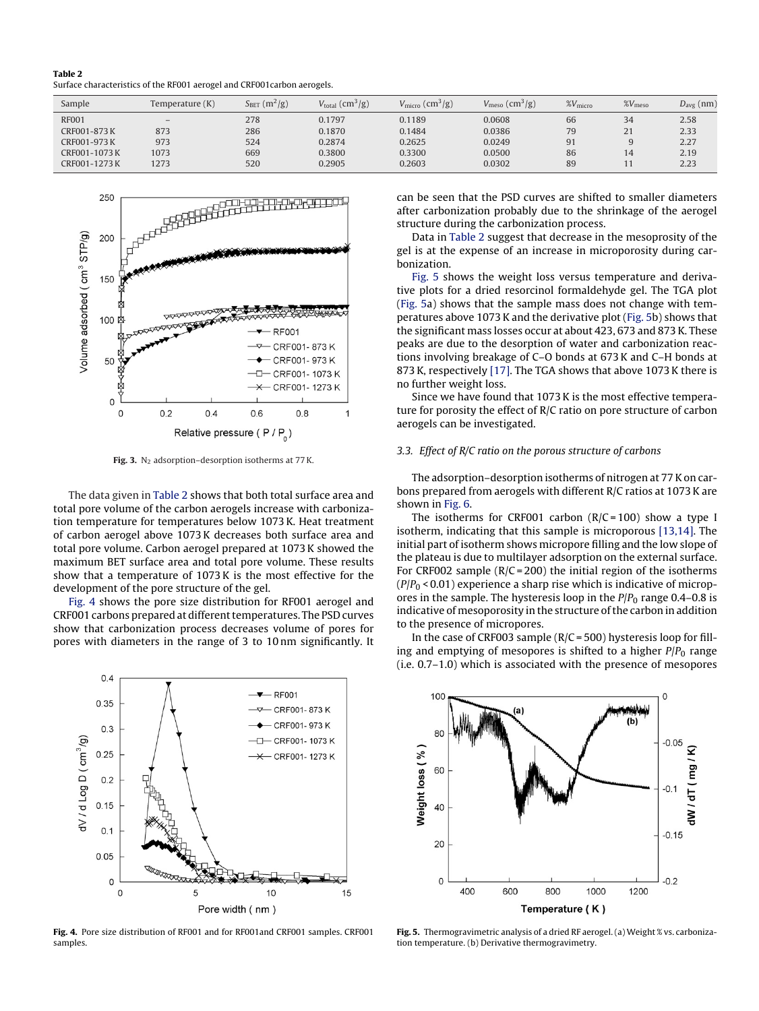<span id="page-3-2"></span>Table 2 Surface characteristics of the RF001 aerogel and CRF001carbon aerogels.

<span id="page-3-0"></span>

| Sample        | Temperature (K) | $S_{BET}$ (m <sup>2</sup> /g) | $V_{\text{total}}$ (cm <sup>3</sup> /g) | $V_{\text{micro}}$ (cm <sup>3</sup> /g) | $V_{\text{meso}}\left(\text{cm}^3/\text{g}\right)$ | $\%V_{\text{micro}}$ | $\%V_{\text{meso}}$ | $D_{\text{avg}}$ (nm) |
|---------------|-----------------|-------------------------------|-----------------------------------------|-----------------------------------------|----------------------------------------------------|----------------------|---------------------|-----------------------|
| <b>RF001</b>  | $-$             | 278                           | 0.1797                                  | 0.1189                                  | 0.0608                                             | 66                   | 34                  | 2.58                  |
| CRF001-873 K  | 873             | 286                           | 0.1870                                  | 0.1484                                  | 0.0386                                             | 79                   | 21                  | 2.33                  |
| CRF001-973K   | 973             | 524                           | 0.2874                                  | 0.2625                                  | 0.0249                                             | 91                   |                     | 2.27                  |
| CRF001-1073 K | 1073            | 669                           | 0.3800                                  | 0.3300                                  | 0.0500                                             | 86                   | 14                  | 2.19                  |
| CRF001-1273 K | 1273            | 520                           | 0.2905                                  | 0.2603                                  | 0.0302                                             | 89                   |                     | 2.23                  |



Fig. 3.  $N_2$  adsorption–desorption isotherms at 77 K.

The data given in [Table 2](#page-2-0) shows that both total surface area and total pore volume of the carbon aerogels increase with carbonization temperature for temperatures below 1073 K. Heat treatment of carbon aerogel above 1073 K decreases both surface area and total pore volume. Carbon aerogel prepared at 1073 K showed the maximum BET surface area and total pore volume. These results show that a temperature of 1073 K is the most effective for the development of the pore structure of the gel.

<span id="page-3-3"></span><span id="page-3-1"></span>[Fig. 4](#page-2-2) shows the pore size distribution for RF001 aerogel and CRF001 carbons prepared at different temperatures. The PSD curves show that carbonization process decreases volume of pores for pores with diameters in the range of 3 to 10 nm significantly. It



Fig. 4. Pore size distribution of RF001 and for RF001and CRF001 samples. CRF001 samples.

can be seen that the PSD curves are shifted to smaller diameters after carbonization probably due to the shrinkage of the aerogel structure during the carbonization process.

Data in [Table 2](#page-2-0) suggest that decrease in the mesoprosity of the gel is at the expense of an increase in microporosity during carbonization.

[Fig. 5](#page-2-3) shows the weight loss versus temperature and derivative plots for a dried resorcinol formaldehyde gel. The TGA plot [\(Fig. 5a](#page-2-3)) shows that the sample mass does not change with temperatures above 1073 K and the derivative plot [\(Fig. 5b\)](#page-2-3) shows that the significant mass losses occur at about 423, 673 and 873 K. These peaks are due to the desorption of water and carbonization reactions involving breakage of C–O bonds at 673 K and C–H bonds at 873 K, respectively [\[17\]. T](#page-6-13)he TGA shows that above 1073 K there is no further weight loss.

Since we have found that 1073 K is the most effective temperature for porosity the effect of R/C ratio on pore structure of carbon aerogels can be investigated.

#### 3.3. Effect of R/C ratio on the porous structure of carbons

The adsorption–desorption isotherms of nitrogen at 77 K on carbons prepared from aerogels with different R/C ratios at 1073 K are shown in [Fig. 6.](#page-3-0)

The isotherms for CRF001 carbon  $(R/C = 100)$  show a type I isotherm, indicating that this sample is microporous [\[13,14\]. T](#page-6-10)he initial part of isotherm shows micropore filling and the low slope of the plateau is due to multilayer adsorption on the external surface. For CRF002 sample ( $R/C = 200$ ) the initial region of the isotherms  $(P/P_0 < 0.01)$  experience a sharp rise which is indicative of micropores in the sample. The hysteresis loop in the  $P/P<sub>0</sub>$  range 0.4–0.8 is indicative of mesoporosity in the structure of the carbon in addition to the presence of micropores.

In the case of CRF003 sample  $(R/C = 500)$  hysteresis loop for filling and emptying of mesopores is shifted to a higher  $P/P<sub>0</sub>$  range (i.e. 0.7–1.0) which is associated with the presence of mesopores



Fig. 5. Thermogravimetric analysis of a dried RF aerogel. (a) Weight % vs. carbonization temperature. (b) Derivative thermogravimetry.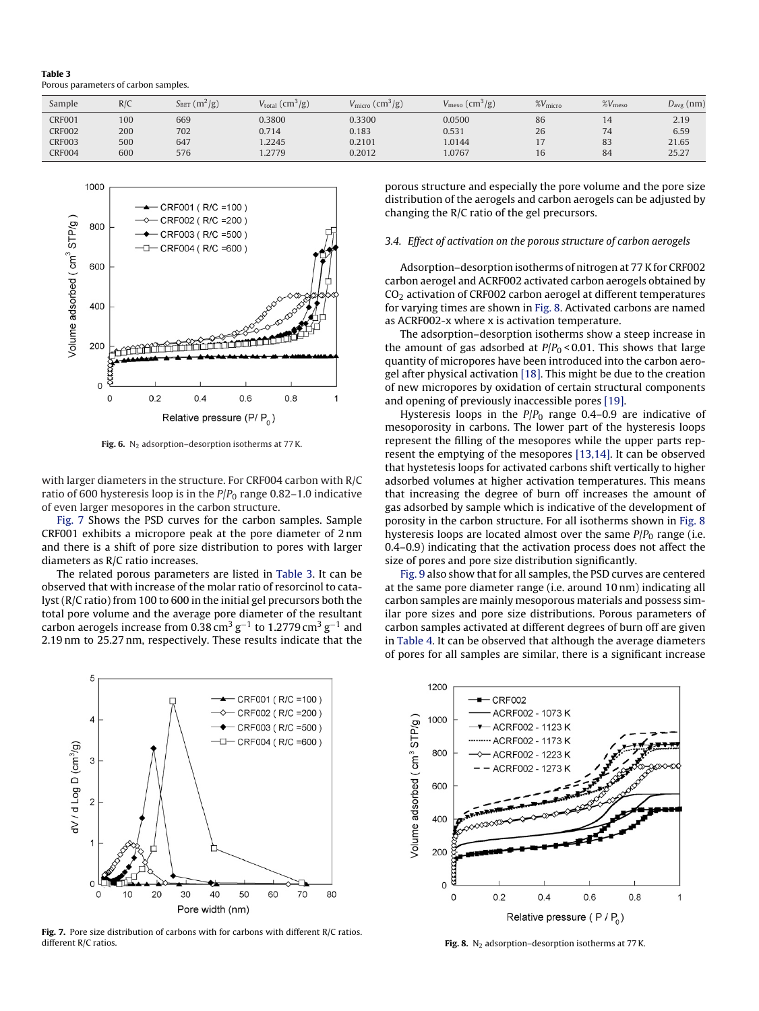<span id="page-4-0"></span>Table 3 Porous parameters of carbon samples.

<span id="page-4-1"></span>

| Sample        | R/C | $(m^2/g)$<br>$\Delta$ BET | $V_{\text{total}}\left(\text{cm}^3/\text{g}\right)$ | $V_{\rm micro}$ (cm <sup>3</sup> /g) | $V_{\text{meso}}\left(\text{cm}^3/\text{g}\right)$ | $\%V_{\text{micro}}$ | $\%V_{\text{meso}}$ | $D_{\text{avg}}$ (nm) |
|---------------|-----|---------------------------|-----------------------------------------------------|--------------------------------------|----------------------------------------------------|----------------------|---------------------|-----------------------|
| <b>CRF001</b> | 100 | 669                       | 0.3800                                              | 0.3300                               | 0.0500                                             | 86                   | 14                  | 2.19                  |
| <b>CRF002</b> | 200 | 702                       | 0.714                                               | 0.183                                | 0.531                                              | 26                   | 74                  | 6.59                  |
| <b>CRF003</b> | 500 | 647                       | .2245                                               | 0.2101                               | 1.0144                                             |                      | 83                  | 21.65                 |
| <b>CRF004</b> | 600 | 576                       | .2779                                               | 0.2012                               | 1.0767                                             | 16                   | 84                  | 25.27                 |



Fig. 6.  $N_2$  adsorption–desorption isotherms at 77 K.

with larger diameters in the structure. For CRF004 carbon with R/C ratio of 600 hysteresis loop is in the  $P/P<sub>0</sub>$  range 0.82–1.0 indicative of even larger mesopores in the carbon structure.

[Fig. 7](#page-3-1) Shows the PSD curves for the carbon samples. Sample CRF001 exhibits a micropore peak at the pore diameter of 2 nm and there is a shift of pore size distribution to pores with larger diameters as R/C ratio increases.

<span id="page-4-2"></span>The related porous parameters are listed in [Table 3.](#page-3-2) It can be observed that with increase of the molar ratio of resorcinol to catalyst (R/C ratio) from 100 to 600 in the initial gel precursors both the total pore volume and the average pore diameter of the resultant carbon aerogels increase from 0.38 cm $^3$  g $^{-1}$  to 1.2779 cm $^3$  g $^{-1}$  and 2.19 nm to 25.27 nm, respectively. These results indicate that the



Fig. 7. Pore size distribution of carbons with for carbons with different R/C ratios. different R/C ratios.

porous structure and especially the pore volume and the pore size distribution of the aerogels and carbon aerogels can be adjusted by changing the R/C ratio of the gel precursors.

#### 3.4. Effect of activation on the porous structure of carbon aerogels

Adsorption–desorption isotherms of nitrogen at 77 K for CRF002 carbon aerogel and ACRF002 activated carbon aerogels obtained by CO<sup>2</sup> activation of CRF002 carbon aerogel at different temperatures for varying times are shown in [Fig. 8. A](#page-3-3)ctivated carbons are named as ACRF002-x where x is activation temperature.

The adsorption–desorption isotherms show a steep increase in the amount of gas adsorbed at  $P/P_0 < 0.01$ . This shows that large quantity of micropores have been introduced into the carbon aerogel after physical activation [\[18\]. T](#page-6-14)his might be due to the creation of new micropores by oxidation of certain structural components and opening of previously inaccessible pores [\[19\].](#page-6-15)

Hysteresis loops in the  $P/P_0$  range 0.4–0.9 are indicative of mesoporosity in carbons. The lower part of the hysteresis loops represent the filling of the mesopores while the upper parts represent the emptying of the mesopores [\[13,14\]. I](#page-6-10)t can be observed that hystetesis loops for activated carbons shift vertically to higher adsorbed volumes at higher activation temperatures. This means that increasing the degree of burn off increases the amount of gas adsorbed by sample which is indicative of the development of porosity in the carbon structure. For all isotherms shown in [Fig. 8](#page-3-3) hysteresis loops are located almost over the same  $P/P<sub>0</sub>$  range (i.e. 0.4–0.9) indicating that the activation process does not affect the size of pores and pore size distribution significantly.

[Fig. 9](#page-4-1) also show that for all samples, the PSD curves are centered at the same pore diameter range (i.e. around 10 nm) indicating all carbon samples are mainly mesoporous materials and possess similar pore sizes and pore size distributions. Porous parameters of carbon samples activated at different degrees of burn off are given in [Table 4. I](#page-4-0)t can be observed that although the average diameters of pores for all samples are similar, there is a significant increase



Fig. 8.  $N_2$  adsorption–desorption isotherms at 77 K.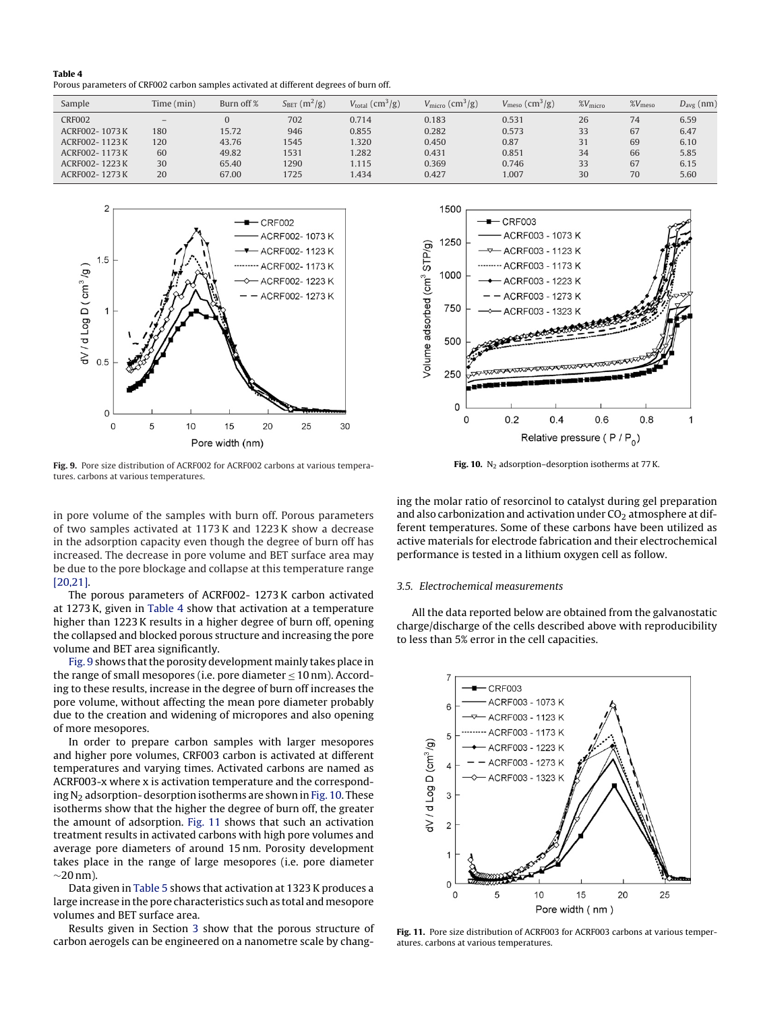<span id="page-5-0"></span>

| Table 4                                                                                |  |  |
|----------------------------------------------------------------------------------------|--|--|
| Porous parameters of CRF002 carbon samples activated at different degrees of burn off. |  |  |

<span id="page-5-2"></span>

| Sample        | Time (min)               | Burn off % | $S_{BET}$ (m <sup>2</sup> /g) | $V_{\text{total}}$ (cm <sup>3</sup> /g) | $V_{\text{micro}}$ (cm <sup>3</sup> /g) | $V_{\text{meso}}\left(\text{cm}^3/\text{g}\right)$ | $\chi V_{\text{micro}}$ | $\%V_{\text{meso}}$ | $D_{\text{avg}}$ (nm) |
|---------------|--------------------------|------------|-------------------------------|-----------------------------------------|-----------------------------------------|----------------------------------------------------|-------------------------|---------------------|-----------------------|
| <b>CRF002</b> | $\overline{\phantom{0}}$ |            | 702                           | 0.714                                   | 0.183                                   | 0.531                                              | 26                      | 74                  | 6.59                  |
| ACRF002-1073K | 180                      | 15.72      | 946                           | 0.855                                   | 0.282                                   | 0.573                                              | 33                      | 67                  | 6.47                  |
| ACRF002-1123K | 120                      | 43.76      | 1545                          | .320                                    | 0.450                                   | 0.87                                               | 31                      | 69                  | 6.10                  |
| ACRF002-1173K | 60                       | 49.82      | 1531                          | .282                                    | 0.431                                   | 0.851                                              | 34                      | 66                  | 5.85                  |
| ACRF002-1223K | 30                       | 65.40      | 1290                          | .115                                    | 0.369                                   | 0.746                                              | 33                      | 67                  | 6.15                  |
| ACRF002-1273K | 20                       | 67.00      | 1725                          | .434                                    | 0.427                                   | 1.007                                              | 30                      | 70                  | 5.60                  |



Fig. 9. Pore size distribution of ACRF002 for ACRF002 carbons at various temperatures. carbons at various temperatures.

in pore volume of the samples with burn off. Porous parameters of two samples activated at 1173 K and 1223 K show a decrease in the adsorption capacity even though the degree of burn off has increased. The decrease in pore volume and BET surface area may be due to the pore blockage and collapse at this temperature range [\[20,21\].](#page-6-16)

The porous parameters of ACRF002- 1273 K carbon activated at 1273 K, given in [Table 4](#page-4-0) show that activation at a temperature higher than 1223 K results in a higher degree of burn off, opening the collapsed and blocked porous structure and increasing the pore volume and BET area significantly.

[Fig. 9](#page-4-1) shows that the porosity development mainly takes place in the range of small mesopores (i.e. pore diameter  $\leq 10$  nm). According to these results, increase in the degree of burn off increases the pore volume, without affecting the mean pore diameter probably due to the creation and widening of micropores and also opening of more mesopores.

<span id="page-5-1"></span>In order to prepare carbon samples with larger mesopores and higher pore volumes, CRF003 carbon is activated at different temperatures and varying times. Activated carbons are named as ACRF003-x where x is activation temperature and the corresponding  $N<sub>2</sub>$  adsorption-desorption isotherms are shown in [Fig. 10. T](#page-4-1)hese isotherms show that the higher the degree of burn off, the greater the amount of adsorption. [Fig. 11](#page-4-2) shows that such an activation treatment results in activated carbons with high pore volumes and average pore diameters of around 15 nm. Porosity development takes place in the range of large mesopores (i.e. pore diameter  $\sim$ 20 nm).

Data given in [Table 5](#page-5-0) shows that activation at 1323 K produces a large increase in the pore characteristics such as total and mesopore volumes and BET surface area.

Results given in Section [3](#page-1-3) show that the porous structure of carbon aerogels can be engineered on a nanometre scale by chang-



Fig. 10.  $N_2$  adsorption-desorption isotherms at 77 K.

ing the molar ratio of resorcinol to catalyst during gel preparation and also carbonization and activation under  $CO<sub>2</sub>$  atmosphere at different temperatures. Some of these carbons have been utilized as active materials for electrode fabrication and their electrochemical performance is tested in a lithium oxygen cell as follow.

### 3.5. Electrochemical measurements

All the data reported below are obtained from the galvanostatic charge/discharge of the cells described above with reproducibility to less than 5% error in the cell capacities.



Fig. 11. Pore size distribution of ACRF003 for ACRF003 carbons at various temperatures. carbons at various temperatures.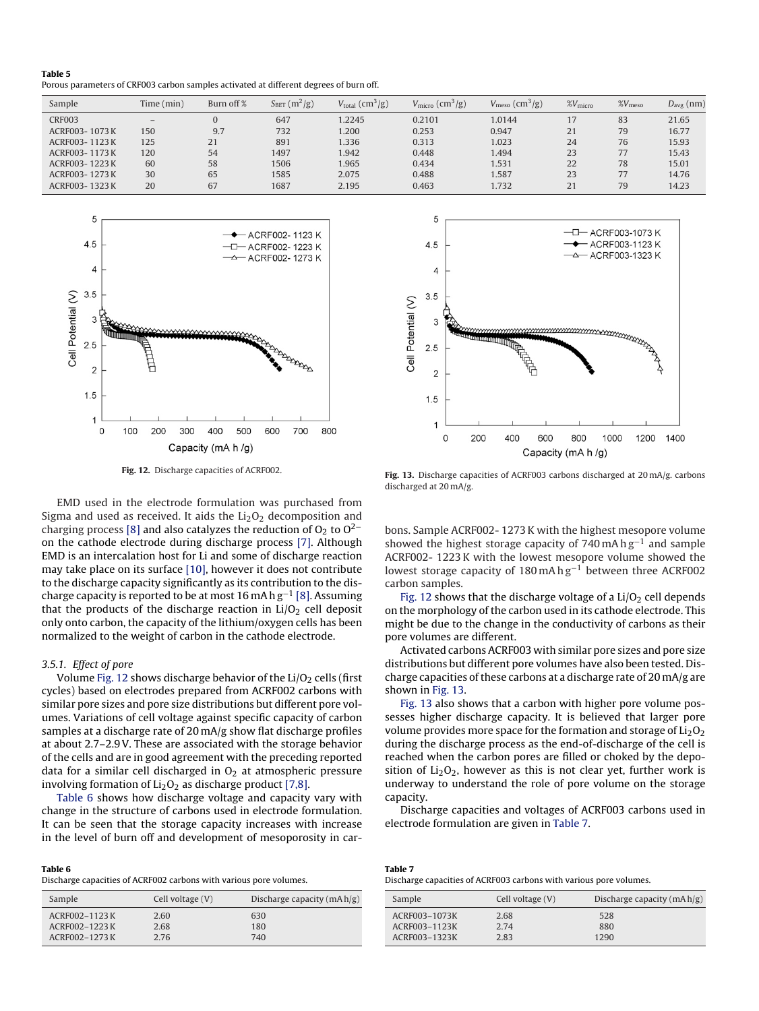<span id="page-6-19"></span>

| Table 5                                                                                |
|----------------------------------------------------------------------------------------|
| Porous parameters of CRF003 carbon samples activated at different degrees of burn off. |

| Sample        | Time (min)               | Burn off % | $S_{BET}$ (m <sup>2</sup> /g) | $V_{\text{total}}$ (cm <sup>3</sup> /g) | $V_{\text{micro}}$ (cm <sup>3</sup> /g) | $V_{\text{meso}}\left(\text{cm}^3/\text{g}\right)$ | $\%V_{\text{micro}}$ | $\%V_{\text{meso}}$ | $D_{\text{avg}}$ (nm) |
|---------------|--------------------------|------------|-------------------------------|-----------------------------------------|-----------------------------------------|----------------------------------------------------|----------------------|---------------------|-----------------------|
| <b>CRF003</b> | $\overline{\phantom{0}}$ |            | 647                           | 1.2245                                  | 0.2101                                  | 1.0144                                             |                      | 83                  | 21.65                 |
| ACRF003-1073K | 150                      | 9.7        | 732                           | 1.200                                   | 0.253                                   | 0.947                                              | 21                   | 79                  | 16.77                 |
| ACRF003-1123K | 125                      | 21         | 891                           | 1.336                                   | 0.313                                   | 1.023                                              | 24                   | 76                  | 15.93                 |
| ACRF003-1173K | 120                      | 54         | 1497                          | 1.942                                   | 0.448                                   | 1.494                                              | 23                   | 77                  | 15.43                 |
| ACRF003-1223K | 60                       | 58         | 1506                          | 1.965                                   | 0.434                                   | 1.531                                              | 22                   | 78                  | 15.01                 |
| ACRF003-1273K | 30                       | 65         | 1585                          | 2.075                                   | 0.488                                   | 1.587                                              | 23                   |                     | 14.76                 |
| ACRF003-1323K | 20                       | 67         | 1687                          | 2.195                                   | 0.463                                   | 1.732                                              | 21                   | 79                  | 14.23                 |

<span id="page-6-18"></span>

Fig. 12. Discharge capacities of ACRF002.

<span id="page-6-17"></span><span id="page-6-10"></span><span id="page-6-9"></span><span id="page-6-8"></span><span id="page-6-7"></span><span id="page-6-6"></span><span id="page-6-5"></span><span id="page-6-4"></span><span id="page-6-3"></span><span id="page-6-2"></span><span id="page-6-1"></span><span id="page-6-0"></span>EMD used in the electrode formulation was purchased from Sigma and used as received. It aids the  $Li<sub>2</sub>O<sub>2</sub>$  decomposition and charging process [\[8\]](#page-6-7) and also catalyzes the reduction of  $O_2$  to  $O^{2-}$ on the cathode electrode during discharge process [\[7\].](#page-6-6) Although EMD is an intercalation host for Li and some of discharge reaction may take place on its surface [\[10\], h](#page-6-17)owever it does not contribute to the discharge capacity significantly as its contribution to the discharge capacity is reported to be at most 16 mA h g $^{\rm -1}$  [\[8\]. A](#page-6-7)ssuming that the products of the discharge reaction in  $Li/O<sub>2</sub>$  cell deposit only onto carbon, the capacity of the lithium/oxygen cells has been normalized to the weight of carbon in the cathode electrode.

#### <span id="page-6-15"></span><span id="page-6-14"></span><span id="page-6-13"></span><span id="page-6-12"></span><span id="page-6-11"></span>3.5.1. Effect of pore

<span id="page-6-16"></span>Volume [Fig. 12](#page-5-2) shows discharge behavior of the  $Li/O<sub>2</sub>$  cells (first cycles) based on electrodes prepared from ACRF002 carbons with similar pore sizes and pore size distributions but different pore volumes. Variations of cell voltage against specific capacity of carbon samples at a discharge rate of 20 mA/g show flat discharge profiles at about 2.7–2.9 V. These are associated with the storage behavior of the cells and are in good agreement with the preceding reported data for a similar cell discharged in  $O<sub>2</sub>$  at atmospheric pressure involving formation of  $Li<sub>2</sub>O<sub>2</sub>$  as discharge product [\[7,8\].](#page-6-6)

[Table 6](#page-5-1) shows how discharge voltage and capacity vary with change in the structure of carbons used in electrode formulation. It can be seen that the storage capacity increases with increase in the level of burn off and development of mesoporosity in car-

| Table 6                                                            |  |
|--------------------------------------------------------------------|--|
| Discharge capacities of ACRF002 carbons with various pore volumes. |  |

| Sample        | Cell voltage (V) | Discharge capacity $(mA h/g)$ |
|---------------|------------------|-------------------------------|
| ACRF002-1123K | 2.60             | 630                           |
| ACRF002-1223K | 2.68             | 180                           |
| ACRF002-1273K | 2.76             | 740                           |



Fig. 13. Discharge capacities of ACRF003 carbons discharged at 20 mA/g. carbons discharged at 20 mA/g.

bons. Sample ACRF002- 1273 K with the highest mesopore volume showed the highest storage capacity of  $740$  mA h  $g^{-1}$  and sample ACRF002- 1223 K with the lowest mesopore volume showed the lowest storage capacity of 180 mA h g−<sup>1</sup> between three ACRF002 carbon samples.

[Fig. 12](#page-5-2) shows that the discharge voltage of a  $Li/O<sub>2</sub>$  cell depends on the morphology of the carbon used in its cathode electrode. This might be due to the change in the conductivity of carbons as their pore volumes are different.

Activated carbons ACRF003 with similar pore sizes and pore size distributions but different pore volumes have also been tested. Discharge capacities of these carbons at a discharge rate of 20 mA/g are shown in [Fig. 13.](#page-5-2)

[Fig. 13](#page-5-2) also shows that a carbon with higher pore volume possesses higher discharge capacity. It is believed that larger pore volume provides more space for the formation and storage of  $Li<sub>2</sub>O<sub>2</sub>$ during the discharge process as the end-of-discharge of the cell is reached when the carbon pores are filled or choked by the deposition of  $Li<sub>2</sub>O<sub>2</sub>$ , however as this is not clear yet, further work is underway to understand the role of pore volume on the storage capacity.

Discharge capacities and voltages of ACRF003 carbons used in electrode formulation are given in [Table 7.](#page-5-1)

| Table 7                                                            |
|--------------------------------------------------------------------|
| Discharge capacities of ACRF003 carbons with various pore volumes. |
|                                                                    |

| Sample        | Cell voltage (V) | Discharge capacity $(mA h/g)$ |
|---------------|------------------|-------------------------------|
| ACRF003-1073K | 2.68             | 528                           |
| ACRF003-1123K | 2.74             | 880                           |
| ACRF003-1323K | 2.83             | 1290                          |